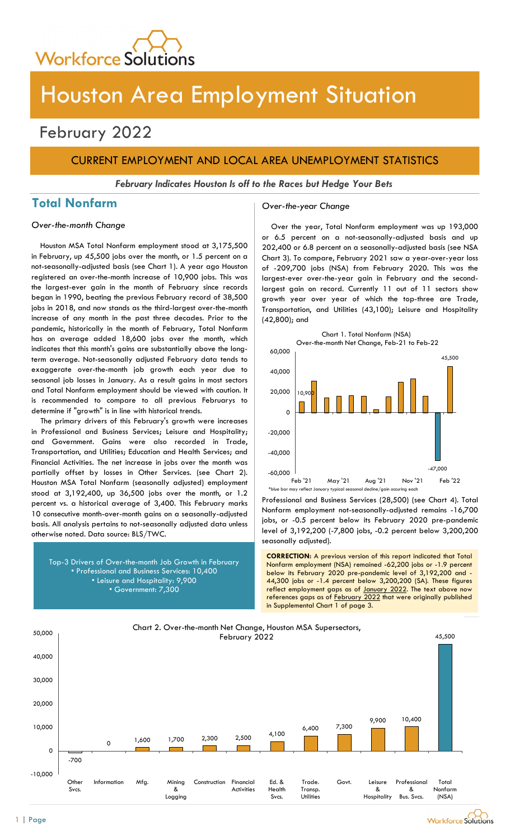

# Houston Area Employment Situation

## February 2022

## CURRENT EMPLOYMENT AND LOCAL AREA UNEMPLOYMENT STATISTICS

February Indicates Houston Is off to the Races but Hedge Your Bets

## Total Nonfarm and Cover-the-year Change

#### Over-the-month Change

Houston MSA Total Nonfarm employment stood at 3,175,500 in February, up 45,500 jobs over the month, or 1.5 percent on a not-seasonally-adjusted basis (see Chart 1). A year ago Houston registered an over-the-month increase of 10,900 jobs. This was the largest-ever gain in the month of February since records began in 1990, beating the previous February record of 38,500 jobs in 2018, and now stands as the third-largest over-the-month increase of any month in the past three decades. Prior to the pandemic, historically in the month of February, Total Nonfarm has on average added 18,600 jobs over the month, which indicates that this month's gains are substantially above the longterm average. Not-seasonally adjusted February data tends to exaggerate over-the-month job growth each year due to seasonal job losses in January. As a result gains in most sectors and Total Nonfarm employment should be viewed with caution. It is recommended to compare to all previous Februarys to determine if "growth" is in line with historical trends.

The primary drivers of this February's growth were increases in Professional and Business Services; Leisure and Hospitality; and Government. Gains were also recorded in Trade, Transportation, and Utilities; Education and Health Services; and Financial Activities. The net increase in jobs over the month was partially offset by losses in Other Services. (see Chart 2). Houston MSA Total Nonfarm (seasonally adjusted) employment stood at 3,192,400, up 36,500 jobs over the month, or 1.2 percent vs. a historical average of 3,400. This February marks 10 consecutive month-over-month gains on a seasonally-adjusted basis. All analysis pertains to not-seasonally adjusted data unless otherwise noted. Data source: BLS/TWC.



Over the year, Total Nonfarm employment was up 193,000 or 6.5 percent on a not-seasonally-adjusted basis and up 202,400 or 6.8 percent on a seasonally-adjusted basis (see NSA Chart 3). To compare, February 2021 saw a year-over-year loss of -209,700 jobs (NSA) from February 2020. This was the largest-ever over-the-year gain in February and the secondlargest gain on record. Currently 11 out of 11 sectors show growth year over year of which the top-three are Trade, Transportation, and Utilities (43,100); Leisure and Hospitality (42,800); and



Professional and Business Services (28,500) (see Chart 4). Total Nonfarm employment not-seasonally-adjusted remains -16,700 jobs, or -0.5 percent below its February 2020 pre-pandemic level of 3,192,200 (-7,800 jobs, -0.2 percent below 3,200,200 seasonally adjusted).

Top-3 Drivers of Over-the-month Job Growth in February **CORRECTION:** A previous version of this report indicated that Total Montagn employment (NSA) remained -62,200 jobs or -1.9 percent • Professional and Business Services: 10,400 • Leisure and Hospitality: 9,900<br>• Government: 7,300<br>• Government: 7,300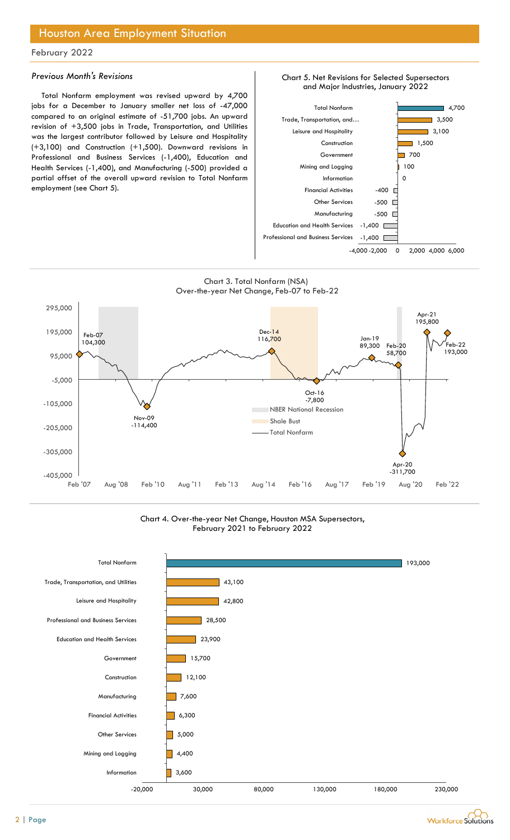## Houston Area Employment Situation

#### February 2022

#### Previous Month's Revisions

Total Nonfarm employment was revised upward by 4,700 jobs for a December to January smaller net loss of -47,000 compared to an original estimate of -51,700 jobs. An upward revision of +3,500 jobs in Trade, Transportation, and Utilities was the largest contributor followed by Leisure and Hospitality (+3,100) and Construction (+1,500). Downward revisions in Professional and Business Services (-1,400), Education and Health Services (-1,400), and Manufacturing (-500) provided a partial offset of the overall upward revision to Total Nonfarm employment (see Chart 5).







Chart 4. Over-the-year Net Change, Houston MSA Supersectors, February 2021 to February 2022



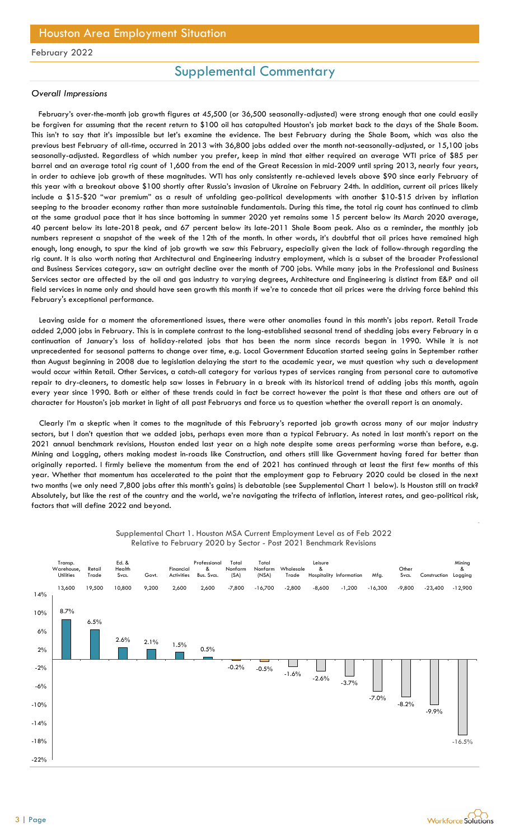## Supplemental Commentary

#### Overall Impressions

February's over-the-month job growth figures at 45,500 (or 36,500 seasonally-adjusted) were strong enough that one could easily be forgiven for assuming that the recent return to \$100 oil has catapulted Houston's job market back to the days of the Shale Boom. This isn't to say that it's impossible but let's examine the evidence. The best February during the Shale Boom, which was also the previous best February of all-time, occurred in 2013 with 36,800 jobs added over the month not-seasonally-adjusted, or 15,100 jobs seasonally-adjusted. Regardless of which number you prefer, keep in mind that either required an average WTI price of \$85 per barrel and an average total rig count of 1,600 from the end of the Great Recession in mid-2009 until spring 2013, nearly four years, in order to achieve job growth of these magnitudes. WTI has only consistently re-achieved levels above \$90 since early February of this year with a breakout above \$100 shortly after Russia's invasion of Ukraine on February 24th. In addition, current oil prices likely include a \$15-\$20 "war premium" as a result of unfolding geo-political developments with another \$10-\$15 driven by inflation seeping to the broader economy rather than more sustainable fundamentals. During this time, the total rig count has continued to climb at the same gradual pace that it has since bottoming in summer 2020 yet remains some 15 percent below its March 2020 average, 40 percent below its late-2018 peak, and 67 percent below its late-2011 Shale Boom peak. Also as a reminder, the monthly job numbers represent a snapshot of the week of the 12th of the month. In other words, it's doubtful that oil prices have remained high enough, long enough, to spur the kind of job growth we saw this February, especially given the lack of follow-through regarding the rig count. It is also worth noting that Architectural and Engineering industry employment, which is a subset of the broader Professional and Business Services category, saw an outright decline over the month of 700 jobs. While many jobs in the Professional and Business Services sector are affected by the oil and gas industry to varying degrees, Architecture and Engineering is distinct from E&P and oil field services in name only and should have seen growth this month if we're to concede that oil prices were the driving force behind this February's exceptional performance.

Leaving aside for a moment the aforementioned issues, there were other anomalies found in this month's jobs report. Retail Trade added 2,000 jobs in February. This is in complete contrast to the long-established seasonal trend of shedding jobs every February in a continuation of January's loss of holiday-related jobs that has been the norm since records began in 1990. While it is not unprecedented for seasonal patterns to change over time, e.g. Local Government Education started seeing gains in September rather than August beginning in 2008 due to legislation delaying the start to the academic year, we must question why such a development would occur within Retail. Other Services, a catch-all category for various types of services ranging from personal care to automotive repair to dry-cleaners, to domestic help saw losses in February in a break with its historical trend of adding jobs this month, again every year since 1990. Both or either of these trends could in fact be correct however the point is that these and others are out of character for Houston's job market in light of all past Februarys and force us to question whether the overall report is an anomaly.

Clearly I'm a skeptic when it comes to the magnitude of this February's reported job growth across many of our major industry sectors, but I don't question that we added jobs, perhaps even more than a typical February. As noted in last month's report on the 2021 annual benchmark revisions, Houston ended last year on a high note despite some areas performing worse than before, e.g. Mining and Logging, others making modest in-roads like Construction, and others still like Government having fared far better than originally reported. I firmly believe the momentum from the end of 2021 has continued through at least the first few months of this year. Whether that momentum has accelerated to the point that the employment gap to February 2020 could be closed in the next two months (we only need 7,800 jobs after this month's gains) is debatable (see Supplemental Chart 1 below). Is Houston still on track? Absolutely, but like the rest of the country and the world, we're navigating the trifecta of inflation, interest rates, and geo-political risk, factors that will define 2022 and beyond. Fins Is m tomplete control me compesions the control method website the control method in the this sector - Post 2021 Benchmark Revisions and the content of change over three, e.g. Local Government Education started seeing



## Supplemental Chart 1. Houston MSA Current Employment Level as of Feb 2022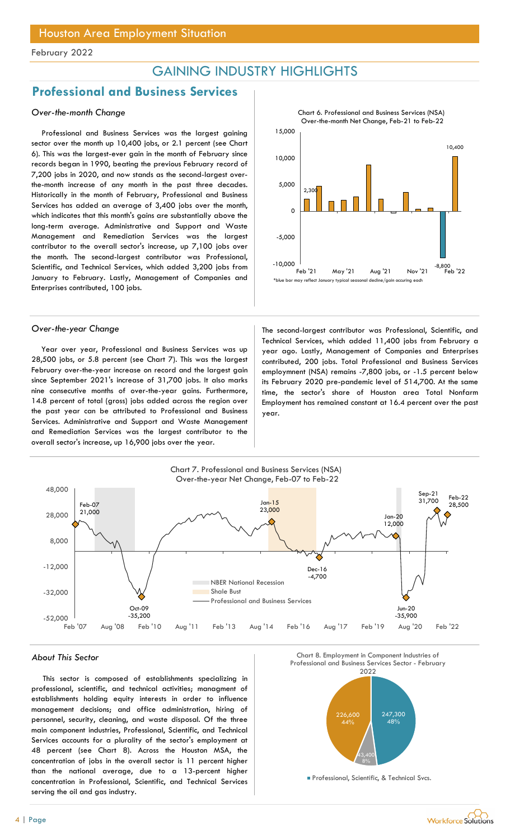## GAINING INDUSTRY HIGHLIGHTS

## Professional and Business Services

#### Over-the-month Change

Professional and Business Services was the largest gaining sector over the month up 10,400 jobs, or 2.1 percent (see Chart 6). This was the largest-ever gain in the month of February since records began in 1990, beating the previous February record of 7,200 jobs in 2020, and now stands as the second-largest overthe-month increase of any month in the past three decades. Historically in the month of February, Professional and Business Services has added an average of 3,400 jobs over the month, which indicates that this month's gains are substantially above the long-term average. Administrative and Support and Waste Management and Remediation Services was the largest contributor to the overall sector's increase, up 7,100 jobs over the month. The second-largest contributor was Professional, Scientific, and Technical Services, which added 3,200 jobs from January to February. Lastly, Management of Companies and Enterprises contributed, 100 jobs.

Year over year, Professional and Business Services was up 28,500 jobs, or 5.8 percent (see Chart 7). This was the largest February over-the-year increase on record and the largest gain since September 2021's increase of 31,700 jobs. It also marks nine consecutive months of over-the-year gains. Furthermore, 14.8 percent of total (gross) jobs added across the region over the past year can be attributed to Professional and Business Services. Administrative and Support and Waste Management and Remediation Services was the largest contributor to the overall sector's increase, up 16,900 jobs over the year.



Over-the-year Change The second-largest contributor was Professional, Scientific, and Technical Services, which added 11,400 jobs from February a year ago. Lastly, Management of Companies and Enterprises contributed, 200 jobs. Total Professional and Business Services employmnent (NSA) remains -7,800 jobs, or -1.5 percent below its February 2020 pre-pandemic level of 514,700. At the same time, the sector's share of Houston area Total Nonfarm Employment has remained constant at 16.4 percent over the past year.



This sector is composed of establishments specializing in professional, scientific, and technical activities; managment of establishments holding equity interests in order to influence management decisions; and office administration, hiring of personnel, security, cleaning, and waste disposal. Of the three main component industries, Professional, Scientific, and Technical Services accounts for a plurality of the sector's employment at 48 percent (see Chart 8). Across the Houston MSA, the concentration of jobs in the overall sector is 11 percent higher than the national average, due to a 13-percent higher concentration in Professional, Scientific, and Technical Services serving the oil and gas industry.



**Professional, Scientific, & Technical Svcs.** 

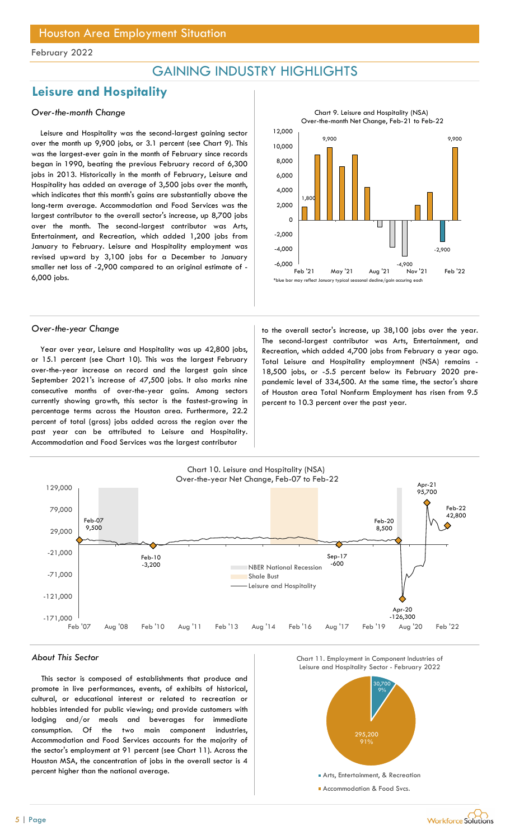## GAINING INDUSTRY HIGHLIGHTS

## Leisure and Hospitality

### Over-the-month Change

Leisure and Hospitality was the second-largest gaining sector over the month up 9,900 jobs, or 3.1 percent (see Chart 9). This was the largest-ever gain in the month of February since records began in 1990, beating the previous February record of 6,300 jobs in 2013. Historically in the month of February, Leisure and Hospitality has added an average of 3,500 jobs over the month, which indicates that this month's gains are substantially above the long-term average. Accommodation and Food Services was the largest contributor to the overall sector's increase, up 8,700 jobs over the month. The second-largest contributor was Arts, Entertainment, and Recreation, which added 1,200 jobs from January to February. Leisure and Hospitality employment was revised upward by 3,100 jobs for a December to January smaller net loss of -2,900 compared to an original estimate of - 6,000 jobs.



Year over year, Leisure and Hospitality was up 42,800 jobs, or 15.1 percent (see Chart 10). This was the largest February over-the-year increase on record and the largest gain since September 2021's increase of 47,500 jobs. It also marks nine consecutive months of over-the-year gains. Among sectors currently showing growth, this sector is the fastest-growing in percentage terms across the Houston area. Furthermore, 22.2 percent of total (gross) jobs added across the region over the past year can be attributed to Leisure and Hospitality. Accommodation and Food Services was the largest contributor

Over-the-year Change to the overall sector's increase, up 38,100 jobs over the year. The second-largest contributor was Arts, Entertainment, and Recreation, which added 4,700 jobs from February a year ago. Total Leisure and Hospitality employmnent (NSA) remains - 18,500 jobs, or -5.5 percent below its February 2020 prepandemic level of 334,500. At the same time, the sector's share of Houston area Total Nonfarm Employment has risen from 9.5 percent to 10.3 percent over the past year.



This sector is composed of establishments that produce and promote in live performances, events, of exhibits of historical, cultural, or educational interest or related to recreation or hobbies intended for public viewing; and provide customers with lodging and/or meals and beverages for immediate consumption. Of the two main component industries, Accommodation and Food Services accounts for the majority of the sector's employment at 91 percent (see Chart 11). Across the Houston MSA, the concentration of jobs in the overall sector is 4 percent higher than the national average.



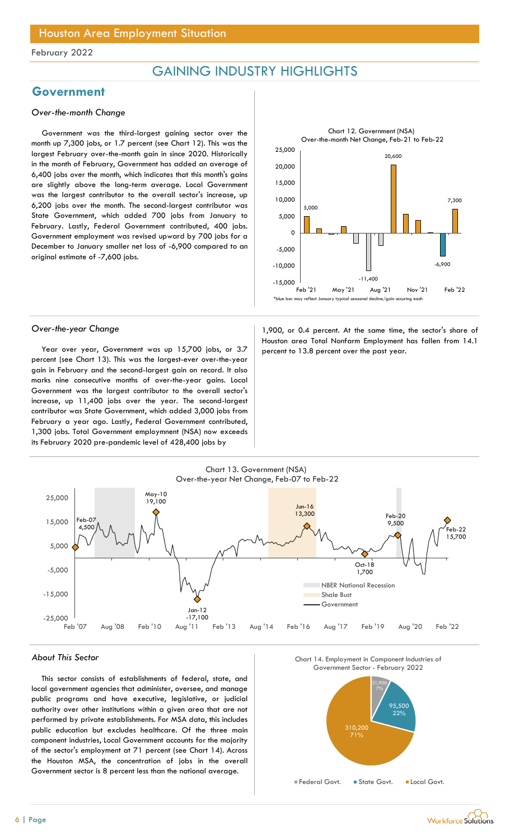## GAINING INDUSTRY HIGHLIGHTS

## Government

#### Over-the-month Change

Government was the third-largest gaining sector over the month up 7,300 jobs, or 1.7 percent (see Chart 12). This was the largest February over-the-month gain in since 2020. Historically in the month of February, Government has added an average of 6,400 jobs over the month, which indicates that this month's gains are slightly above the long-term average. Local Government was the largest contributor to the overall sector's increase, up 6,200 jobs over the month. The second-largest contributor was State Government, which added 700 jobs from January to February. Lastly, Federal Government contributed, 400 jobs. Government employment was revised upward by 700 jobs for a December to January smaller net loss of -6,900 compared to an original estimate of -7,600 jobs.



Year over year, Government was up 15,700 jobs, or  $3.7$  percent to 13.8 percent over the past year. percent (see Chart 13). This was the largest-ever over-the-year gain in February and the second-largest gain on record. It also marks nine consecutive months of over-the-year gains. Local Government was the largest contributor to the overall sector's increase, up 11,400 jobs over the year. The second-largest contributor was State Government, which added 3,000 jobs from February a year ago. Lastly, Federal Government contributed, 1,300 jobs. Total Government employmnent (NSA) now exceeds its February 2020 pre-pandemic level of 428,400 jobs by

Over-the-year Change 1,900, or 0.4 percent. At the same time, the sector's share of Houston area Total Nonfarm Employment has fallen from 14.1



#### About This Sector

This sector consists of establishments of federal, state, and local government agencies that administer, oversee, and manage public programs and have executive, legislative, or judicial authority over other institutions within a given area that are not performed by private establishments. For MSA data, this includes public education but excludes healthcare. Of the three main component industries, Local Government accounts for the majority of the sector's employment at 71 percent (see Chart 14). Across the Houston MSA, the concentration of jobs in the overall Government sector is 8 percent less than the national average.





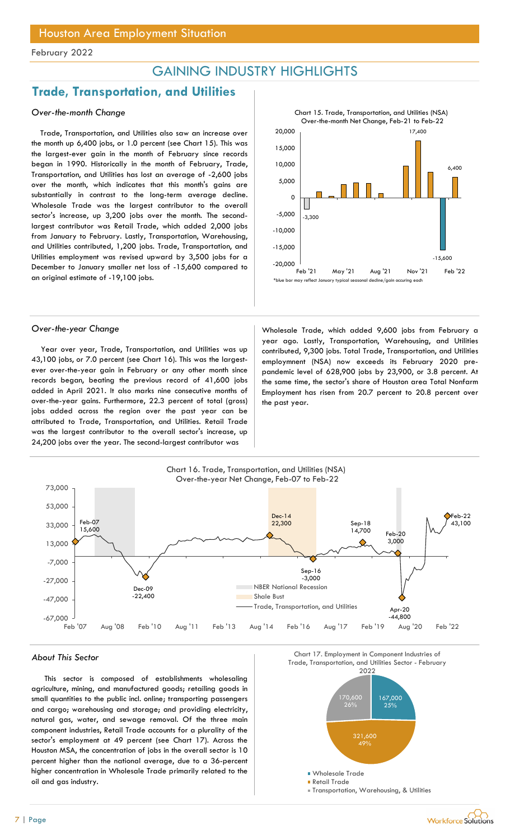## GAINING INDUSTRY HIGHLIGHTS

15,000

10,000

-15,000 -10,000

## Trade, Transportation, and Utilities

### Over-the-month Change

Trade, Transportation, and Utilities also saw an increase over the month up 6,400 jobs, or 1.0 percent (see Chart 15). This was the largest-ever gain in the month of February since records began in 1990. Historically in the month of February, Trade, Transportation, and Utilities has lost an average of -2,600 jobs over the month, which indicates that this month's gains are substantially in contrast to the long-term average decline. Wholesale Trade was the largest contributor to the overall sector's increase, up 3,200 jobs over the month. The secondlargest contributor was Retail Trade, which added 2,000 jobs from January to February. Lastly, Transportation, Warehousing, and Utilities contributed, 1,200 jobs. Trade, Transportation, and Utilities employment was revised upward by 3,500 jobs for a December to January smaller net loss of -15,600 compared to an original estimate of -19,100 jobs.



Year over year, Trade, Transportation, and Utilities was up 43,100 jobs, or 7.0 percent (see Chart 16). This was the largestever over-the-year gain in February or any other month since records began, beating the previous record of 41,600 jobs added in April 2021. It also marks nine consecutive months of over-the-year gains. Furthermore, 22.3 percent of total (gross) jobs added across the region over the past year can be attributed to Trade, Transportation, and Utilities. Retail Trade was the largest contributor to the overall sector's increase, up 24,200 jobs over the year. The second-largest contributor was

Over-the-year Change Wholesale Trade, which added 9,600 jobs from February a year ago. Lastly, Transportation, Warehousing, and Utilities contributed, 9,300 jobs. Total Trade, Transportation, and Utilities employmnent (NSA) now exceeds its February 2020 prepandemic level of 628,900 jobs by 23,900, or 3.8 percent. At the same time, the sector's share of Houston area Total Nonfarm Employment has risen from 20.7 percent to 20.8 percent over the past year. FILIGHTS<br>
Chart 15. Trade, Transportation, and Utilities (NSA)<br>
Over-the-month Net Change, Feb-21 to Feb-22<br>
17,400<br>
(3,400<br>
15,600<br>
Peb '21 May '21 Aug '21 Nov '21 Feb '22<br>
(3,500<br>
Feb '21 May '21 Aug '21 Nov '21 Feb '22<br> FIIGHLIGHTS<br>
Chart 15. Trade, Transportation, and Utilities (NSA)<br>
20,000<br>
15,000<br>
5,000<br>
5,000<br>
3,300<br>
10,000<br>
20,000<br>
20,000<br>
20,000<br>
20,000<br>
20,000<br>
20,000<br>
20,000<br>
20,000<br>
20,000<br>
20,000<br>
20,000<br>
20,000<br>
20,000<br>
20,00

-20,000

 $-5,000$   $\Big|_{-3,300}$ 

5,000

15,000 and the contract of the contract of the contract of the contract of the contract of the contract of the contract of the contract of the contract of the contract of the contract of the contract of the contract of the

Chart 15. Trade, Transportation, and Utilities (NSA) Over-the-month Net Change, Feb-21 to Feb-22

20,000 and the contract of the contract of the contract of the contract of the contract of the contract of the contract of the contract of the contract of the contract of the contract of the contract of the contract of the

0

-3,300

17,400

-15,600

6,400



This sector is composed of establishments wholesaling agriculture, mining, and manufactured goods; retailing goods in small quantities to the public incl. online; transporting passengers and cargo; warehousing and storage; and providing electricity, natural gas, water, and sewage removal. Of the three main component industries, Retail Trade accounts for a plurality of the sector's employment at 49 percent (see Chart 17). Across the Houston MSA, the concentration of jobs in the overall sector is 10 percent higher than the national average, due to a 36-percent higher concentration in Wholesale Trade primarily related to the oil and gas industry.



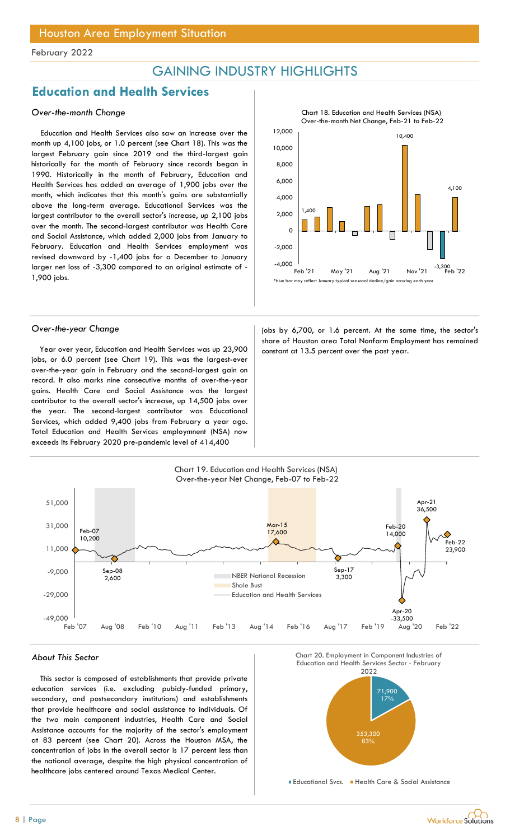## GAINING INDUSTRY HIGHLIGHTS

## Education and Health Services

### Over-the-month Change

Education and Health Services also saw an increase over the month up 4,100 jobs, or 1.0 percent (see Chart 18). This was the largest February gain since 2019 and the third-largest gain historically for the month of February since records began in 1990. Historically in the month of February, Education and Health Services has added an average of 1,900 jobs over the month, which indicates that this month's gains are substantially above the long-term average. Educational Services was the largest contributor to the overall sector's increase, up 2,100 jobs over the month. The second-largest contributor was Health Care and Social Assistance, which added 2,000 jobs from January to February. Education and Health Services employment was revised downward by -1,400 jobs for a December to January larger net loss of -3,300 compared to an original estimate of - 1,900 jobs.

Year over year, Education and Health Services was up 23,900 constant at 13.5 percent over the past year. jobs, or 6.0 percent (see Chart 19). This was the largest-ever over-the-year gain in February and the second-largest gain on record. It also marks nine consecutive months of over-the-year gains. Health Care and Social Assistance was the largest contributor to the overall sector's increase, up 14,500 jobs over the year. The second-largest contributor was Educational Services, which added 9,400 jobs from February a year ago. Total Education and Health Services employmnent (NSA) now exceeds its February 2020 pre-pandemic level of 414,400



Chart 18. Education and Health Services (NSA)

Over-the-year Change in the sector's position of the same time, the sector's percent. At the same time, the sector's share of Houston area Total Nonfarm Employment has remained



#### About This Sector

This sector is composed of establishments that provide private education services (i.e. excluding pubicly-funded primary, secondary, and postsecondary institutions) and establishments that provide healthcare and social assistance to individuals. Of the two main component industries, Health Care and Social Assistance accounts for the majority of the sector's employment at 83 percent (see Chart 20). Across the Houston MSA, the concentration of jobs in the overall sector is 17 percent less than the national average, despite the high physical concentration of healthcare jobs centered around Texas Medical Center.

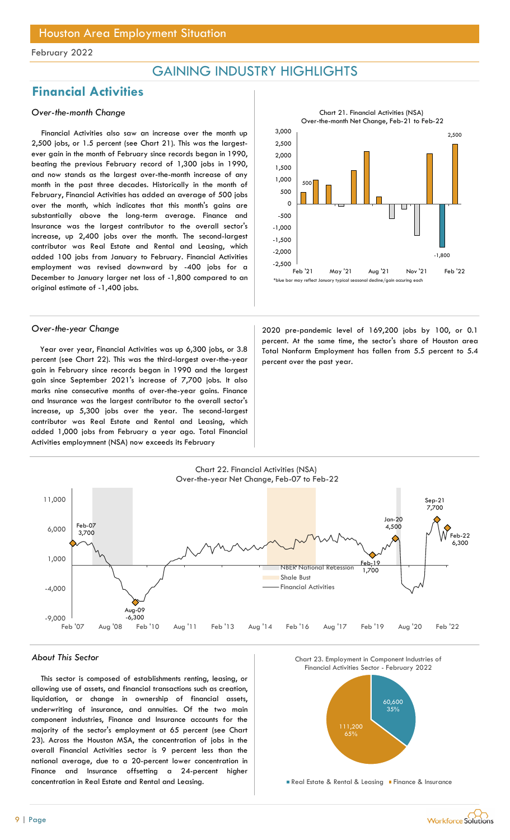## GAINING INDUSTRY HIGHLIGHTS

## Financial Activities

### Over-the-month Change

Financial Activities also saw an increase over the month up 2,500 jobs, or 1.5 percent (see Chart 21). This was the largestever gain in the month of February since records began in 1990, beating the previous February record of 1,300 jobs in 1990, and now stands as the largest over-the-month increase of any month in the past three decades. Historically in the month of February, Financial Activities has added an average of 500 jobs over the month, which indicates that this month's gains are substantially above the long-term average. Finance and Insurance was the largest contributor to the overall sector's increase, up 2,400 jobs over the month. The second-largest contributor was Real Estate and Rental and Leasing, which added 100 jobs from January to February. Financial Activities employment was revised downward by -400 jobs for a December to January larger net loss of -1,800 compared to an original estimate of -1,400 jobs.

Year over year, Financial Activities was up 6,300 jobs, or 3.8 percent (see Chart 22). This was the third-largest over-the-year gain in February since records began in 1990 and the largest gain since September 2021's increase of 7,700 jobs. It also marks nine consecutive months of over-the-year gains. Finance and Insurance was the largest contributor to the overall sector's increase, up 5,300 jobs over the year. The second-largest contributor was Real Estate and Rental and Leasing, which added 1,000 jobs from February a year ago. Total Financial Activities employmnent (NSA) now exceeds its February



Over-the-year Change 2020 pre-pandemic level of 169,200 jobs by 100, or 0.1 percent. At the same time, the sector's share of Houston area Total Nonfarm Employment has fallen from 5.5 percent to 5.4 percent over the past year.



#### About This Sector

This sector is composed of establishments renting, leasing, or allowing use of assets, and financial transactions such as creation, liquidation, or change in ownership of financial assets, underwriting of insurance, and annuities. Of the two main component industries, Finance and Insurance accounts for the majority of the sector's employment at 65 percent (see Chart 23). Across the Houston MSA, the concentration of jobs in the overall Financial Activities sector is 9 percent less than the national average, due to a 20-percent lower concentration in Finance and Insurance offsetting a 24-percent higher concentration in Real Estate and Rental and Leasing.

Chart 23. Employment in Component Industries of



**Real Estate & Rental & Leasing Finance & Insurance**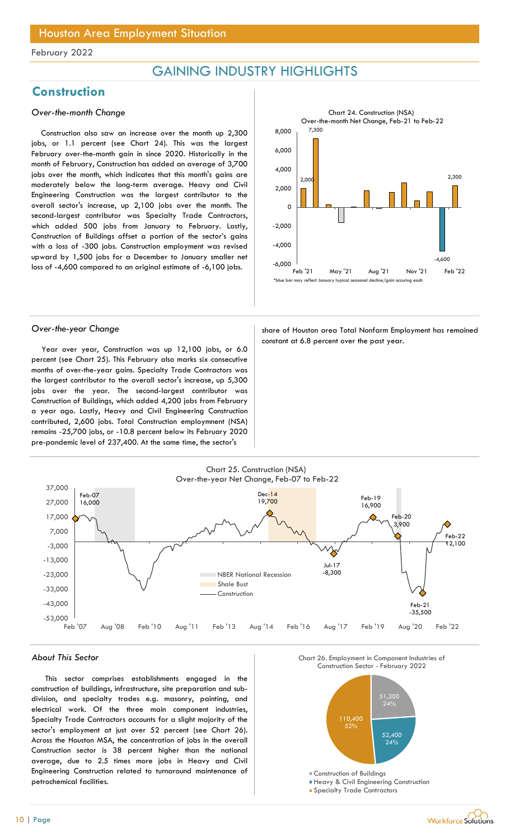## GAINING INDUSTRY HIGHLIGHTS

## **Construction**

### Over-the-month Change

Construction also saw an increase over the month up 2,300 jobs, or 1.1 percent (see Chart 24). This was the largest February over-the-month gain in since 2020. Historically in the month of February, Construction has added an average of 3,700 jobs over the month, which indicates that this month's gains are moderately below the long-term average. Heavy and Civil Engineering Construction was the largest contributor to the overall sector's increase, up 2,100 jobs over the month. The second-largest contributor was Specialty Trade Contractors, which added 500 jobs from January to February. Lastly, Construction of Buildings offset a portion of the sector's gains with a loss of -300 jobs. Construction employment was revised upward by 1,500 jobs for a December to January smaller net loss of -4,600 compared to an original estimate of -6,100 jobs.



Year over year, Construction was up 12,100 jobs, or 6.0 percent (see Chart 25). This February also marks six consecutive months of over-the-year gains. Specialty Trade Contractors was the largest contributor to the overall sector's increase, up 5,300 jobs over the year. The second-largest contributor was Construction of Buildings, which added 4,200 jobs from February a year ago. Lastly, Heavy and Civil Engineering Construction contributed, 2,600 jobs. Total Construction employmnent (NSA) remains -25,700 jobs, or -10.8 percent below its February 2020 pre-pandemic level of 237,400. At the same time, the sector's

Over-the-year Change share of Houston area Total Nonfarm Employment has remained constant at 6.8 percent over the past year.



#### About This Sector

This sector comprises establishments engaged in the construction of buildings, infrastructure, site preparation and subdivision, and specialty trades e.g. masonry, painting, and electrical work. Of the three main component industries, Specialty Trade Contractors accounts for a slight majority of the sector's employment at just over 52 percent (see Chart 26). Across the Houston MSA, the concentration of jobs in the overall Construction sector is 38 percent higher than the national average, due to 2.5 times more jobs in Heavy and Civil Engineering Construction related to turnaround maintenance of petrochemical facilities.

Chart 26. Employment in Component Industries of



**Heavy & Civil Engineering Construction** 

**Specialty Trade Contractors**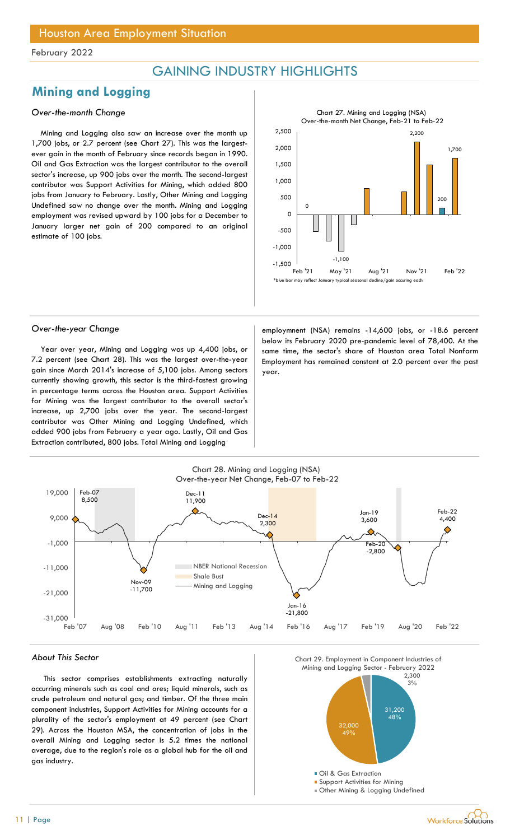## GAINING INDUSTRY HIGHLIGHTS

## Mining and Logging

### Over-the-month Change

Mining and Logging also saw an increase over the month up 1,700 jobs, or 2.7 percent (see Chart 27). This was the largestever gain in the month of February since records began in 1990. Oil and Gas Extraction was the largest contributor to the overall sector's increase, up 900 jobs over the month. The second-largest contributor was Support Activities for Mining, which added 800 jobs from January to February. Lastly, Other Mining and Logging Undefined saw no change over the month. Mining and Logging employment was revised upward by 100 jobs for a December to January larger net gain of 200 compared to an original estimate of 100 jobs.



Year over year, Mining and Logging was up 4,400 jobs, or 7.2 percent (see Chart 28). This was the largest over-the-year gain since March 2014's increase of 5,100 jobs. Among sectors currently showing growth, this sector is the third-fastest growing in percentage terms across the Houston area. Support Activities for Mining was the largest contributor to the overall sector's increase, up 2,700 jobs over the year. The second-largest contributor was Other Mining and Logging Undefined, which added 900 jobs from February a year ago. Lastly, Oil and Gas Extraction contributed, 800 jobs. Total Mining and Logging

Over-the-year Change employmnent (NSA) remains -14,600 jobs, or -18.6 percent below its February 2020 pre-pandemic level of 78,400. At the same time, the sector's share of Houston area Total Nonfarm Employment has remained constant at 2.0 percent over the past year.



#### About This Sector

This sector comprises establishments extracting naturally occurring minerals such as coal and ores; liquid minerals, such as crude petroleum and natural gas; and timber. Of the three main component industries, Support Activities for Mining accounts for a plurality of the sector's employment at 49 percent (see Chart 29). Across the Houston MSA, the concentration of jobs in the overall Mining and Logging sector is 5.2 times the national average, due to the region's role as a global hub for the oil and gas industry.



Other Mining & Logging Undefined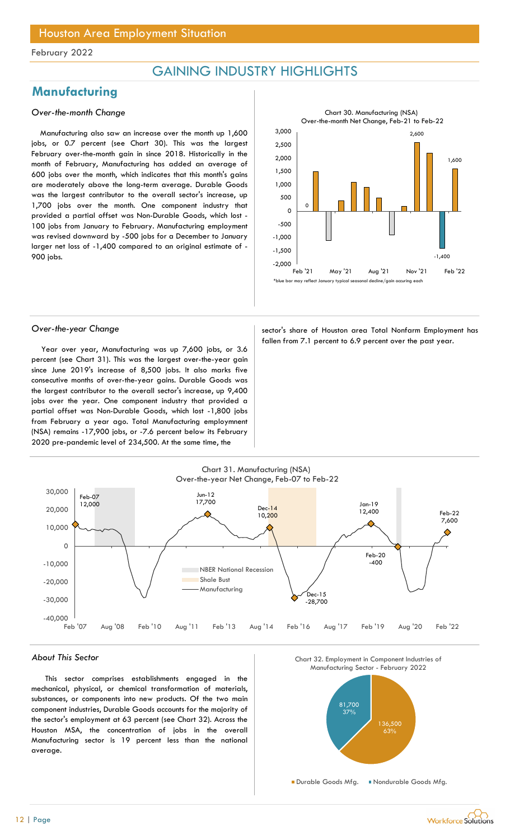## GAINING INDUSTRY HIGHLIGHTS

## **Manufacturing**

#### Over-the-month Change

Manufacturing also saw an increase over the month up 1,600 jobs, or 0.7 percent (see Chart 30). This was the largest February over-the-month gain in since 2018. Historically in the month of February, Manufacturing has added an average of 600 jobs over the month, which indicates that this month's gains are moderately above the long-term average. Durable Goods was the largest contributor to the overall sector's increase, up 1,700 jobs over the month. One component industry that provided a partial offset was Non-Durable Goods, which lost - 100 jobs from January to February. Manufacturing employment was revised downward by -500 jobs for a December to January larger net loss of -1,400 compared to an original estimate of - 900 jobs.



Year over year, Manufacturing was up 7,600 jobs, or 3.6 percent (see Chart 31). This was the largest over-the-year gain since June 2019's increase of 8,500 jobs. It also marks five consecutive months of over-the-year gains. Durable Goods was the largest contributor to the overall sector's increase, up 9,400 jobs over the year. One component industry that provided a partial offset was Non-Durable Goods, which lost -1,800 jobs from February a year ago. Total Manufacturing employmnent (NSA) remains -17,900 jobs, or -7.6 percent below its February 2020 pre-pandemic level of 234,500. At the same time, the

Over-the-year Change sector's share of Houston area Total Nonfarm Employment has fallen from 7.1 percent to 6.9 percent over the past year.



#### About This Sector

This sector comprises establishments engaged in the mechanical, physical, or chemical transformation of materials, substances, or components into new products. Of the two main component industries, Durable Goods accounts for the majority of the sector's employment at 63 percent (see Chart 32). Across the Houston MSA, the concentration of jobs in the overall Manufacturing sector is 19 percent less than the national average.



Durable Goods Mfa. Nondurable Goods Mfa.

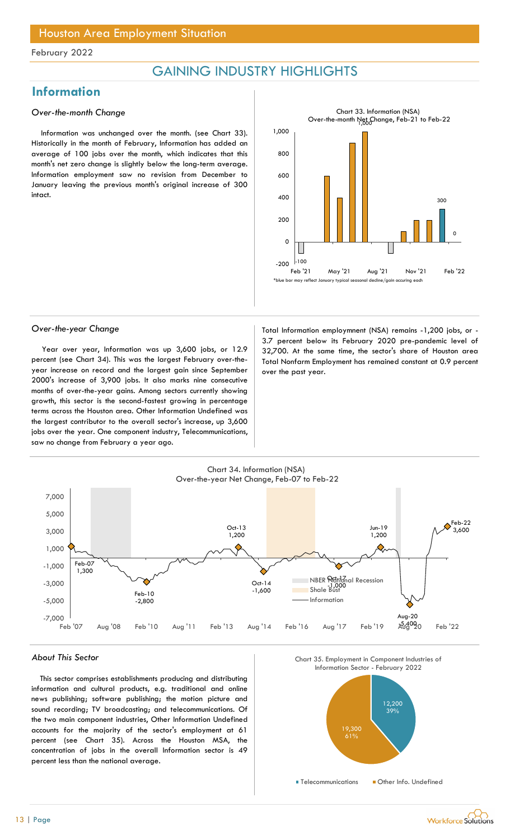## Houston Area Employment Situation

#### February 2022

## GAINING INDUSTRY HIGHLIGHTS

## Information

#### Over-the-month Change

Information was unchanged over the month. (see Chart 33). Historically in the month of February, Information has added an average of 100 jobs over the month, which indicates that this month's net zero change is slightly below the long-term average. Information employment saw no revision from December to January leaving the previous month's original increase of 300 intact.



Year over year, Information was up 3,600 jobs, or 12.9 percent (see Chart 34). This was the largest February over-theyear increase on record and the largest gain since September 2000's increase of 3,900 jobs. It also marks nine consecutive months of over-the-year gains. Among sectors currently showing growth, this sector is the second-fastest growing in percentage terms across the Houston area. Other Information Undefined was the largest contributor to the overall sector's increase, up 3,600 jobs over the year. One component industry, Telecommunications, saw no change from February a year ago.

Over-the-year Change Total Information employmnent (NSA) remains -1,200 jobs, or -3.7 percent below its February 2020 pre-pandemic level of 32,700. At the same time, the sector's share of Houston area Total Nonfarm Employment has remained constant at 0.9 percent over the past year.



#### About This Sector

This sector comprises establishments producing and distributing information and cultural products, e.g. traditional and online news publishing; software publishing; the motion picture and sound recording; TV broadcasting; and telecommunications. Of the two main component industries, Other Information Undefined accounts for the majority of the sector's employment at 61 percent (see Chart 35). Across the Houston MSA, the concentration of jobs in the overall Information sector is 49 percent less than the national average.





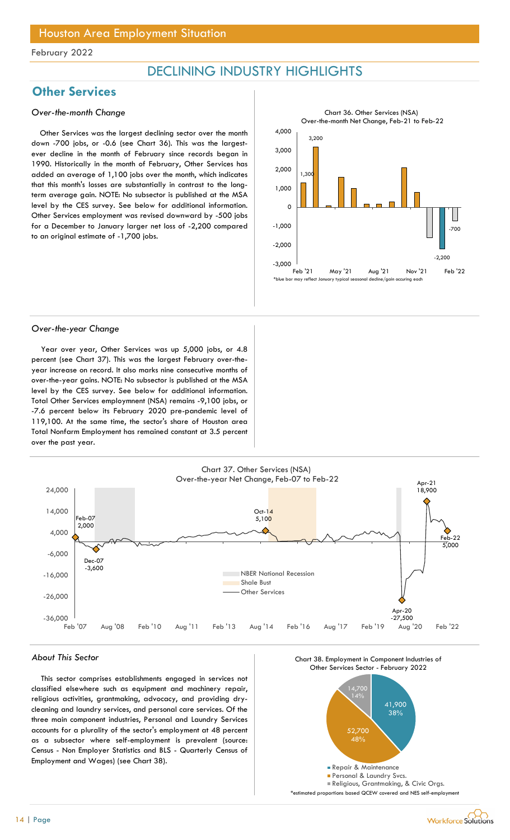## DECLINING INDUSTRY HIGHLIGHTS

## **Other Services**

#### Over-the-month Change

Other Services was the largest declining sector over the month down -700 jobs, or -0.6 (see Chart 36). This was the largestever decline in the month of February since records began in 1990. Historically in the month of February, Other Services has added an average of 1,100 jobs over the month, which indicates that this month's losses are substantially in contrast to the longterm average gain. NOTE: No subsector is published at the MSA level by the CES survey. See below for additional information. Other Services employment was revised downward by -500 jobs for a December to January larger net loss of -2,200 compared to an original estimate of -1,700 jobs.



#### Over-the-year Change

Year over year, Other Services was up 5,000 jobs, or 4.8 percent (see Chart 37). This was the largest February over-theyear increase on record. It also marks nine consecutive months of over-the-year gains. NOTE: No subsector is published at the MSA level by the CES survey. See below for additional information. Total Other Services employmnent (NSA) remains -9,100 jobs, or -7.6 percent below its February 2020 pre-pandemic level of 119,100. At the same time, the sector's share of Houston area Total Nonfarm Employment has remained constant at 3.5 percent over the past year.



#### About This Sector

This sector comprises establishments engaged in services not classified elsewhere such as equipment and machinery repair, religious activities, grantmaking, advocacy, and providing drycleaning and laundry services, and personal care services. Of the three main component industries, Personal and Laundry Services accounts for a plurality of the sector's employment at 48 percent as a subsector where self-employment is prevalent (source: Census - Non Employer Statistics and BLS - Quarterly Census of Employment and Wages) (see Chart 38).



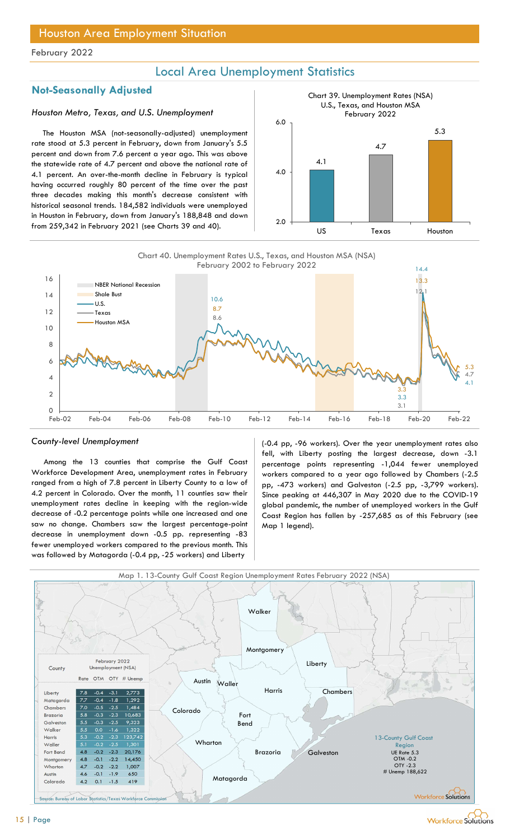## Local Area Unemployment Statistics

## Not-Seasonally Adjusted

### Houston Metro, Texas, and U.S. Unemployment

The Houston MSA (not-seasonally-adjusted) unemployment rate stood at 5.3 percent in February, down from January's 5.5 percent and down from 7.6 percent a year ago. This was above the statewide rate of 4.7 percent and above the national rate of 4.1 percent. An over-the-month decline in February is typical having occurred roughly 80 percent of the time over the past three decades making this month's decrease consistent with historical seasonal trends. 184,582 individuals were unemployed in Houston in February, down from January's 188,848 and down from 259,342 in February 2021 (see Charts 39 and 40).





#### County-level Unemployment

Among the 13 counties that comprise the Gulf Coast Workforce Development Area, unemployment rates in February ranged from a high of 7.8 percent in Liberty County to a low of 4.2 percent in Colorado. Over the month, 11 counties saw their unemployment rates decline in keeping with the region-wide decrease of -0.2 percentage points while one increased and one saw no change. Chambers saw the largest percentage-point decrease in unemployment down -0.5 pp. representing -83 fewer unemployed workers compared to the previous month. This was followed by Matagorda (-0.4 pp, -25 workers) and Liberty

(-0.4 pp, -96 workers). Over the year unemployment rates also fell, with Liberty posting the largest decrease, down -3.1 percentage points representing -1,044 fewer unemployed workers compared to a year ago followed by Chambers (-2.5 pp, -473 workers) and Galveston (-2.5 pp, -3,799 workers). Since peaking at 446,307 in May 2020 due to the COVID-19 global pandemic, the number of unemployed workers in the Gulf Coast Region has fallen by -257,685 as of this February (see Map 1 legend).



Workforce Solutions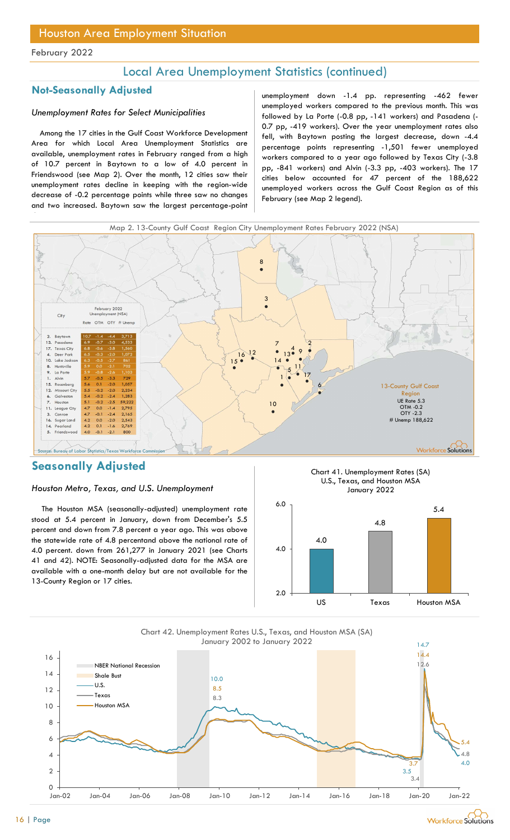## Local Area Unemployment Statistics (continued)

### Not-Seasonally Adjusted

### Unemployment Rates for Select Municipalities

Among the 17 cities in the Gulf Coast Workforce Development Area for which Local Area Unemployment Statistics are available, unemployment rates in February ranged from a high of 10.7 percent in Baytown to a low of 4.0 percent in Friendswood (see Map 2). Over the month, 12 cities saw their unemployment rates decline in keeping with the region-wide decrease of -0.2 percentage points while three saw no changes and two increased. Baytown saw the largest percentage-point

unemployment down -1.4 pp. representing -462 fewer unemployed workers compared to the previous month. This was followed by La Porte (-0.8 pp, -141 workers) and Pasadena (- 0.7 pp, -419 workers). Over the year unemployment rates also fell, with Baytown posting the largest decrease, down -4.4 percentage points representing -1,501 fewer unemployed workers compared to a year ago followed by Texas City (-3.8 pp, -841 workers) and Alvin (-3.3 pp, -403 workers). The 17 cities below accounted for 47 percent of the 188,622 unemployed workers across the Gulf Coast Region as of this February (see Map 2 legend).



## Seasonally Adjusted

### Houston Metro, Texas, and U.S. Unemployment

The Houston MSA (seasonally-adjusted) unemployment rate stood at 5.4 percent in January, down from December's 5.5 percent and down from 7.8 percent a year ago. This was above the statewide rate of 4.8 percentand above the national rate of 4.0 percent. down from 261,277 in January 2021 (see Charts 41 and 42). NOTE: Seasonally-adjusted data for the MSA are available with a one-month delay but are not available for the 13-County Region or 17 cities.





Chart 42. Unemployment Rates U.S., Texas, and Houston MSA (SA) January 2002 to January 2022

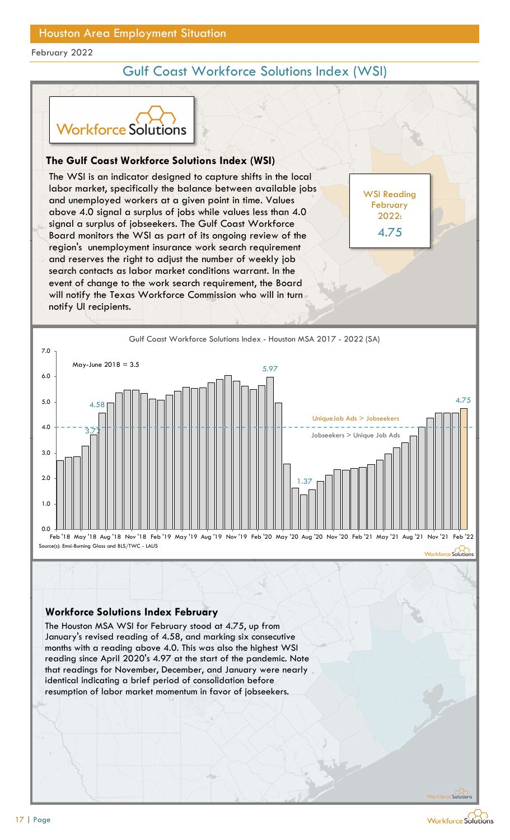## Gulf Coast Workforce Solutions Index (WSI)

WSI Reading February 2022:

4.75



### The Gulf Coast Workforce Solutions Index (WSI)

The WSI is an indicator designed to capture shifts in the local labor market, specifically the balance between available jobs and unemployed workers at a given point in time. Values above 4.0 signal a surplus of jobs while values less than 4.0 signal a surplus of jobseekers. The Gulf Coast Workforce Board monitors the WSI as part of its ongoing review of the 4.75 region's unemployment insurance work search requirement and reserves the right to adjust the number of weekly job search contacts as labor market conditions warrant. In the event of change to the work search requirement, the Board will notify the Texas Workforce Commission who will in turn notify UI recipients. **Solution Start Workforce Solutions Index (WSI)**<br>
VSI is an indicator designed to capture shifts in the local<br>
market, specifically the balance between available jobs<br>
nemenployed workers at a given point in time. Values<br>



### Workforce Solutions Index February

The Houston MSA WSI for February stood at 4.75, up from reading since April 2020's 4.97 at the start of the pandemic. Note that readings for November, December, and January were nearly identical indicating a brief period of consolidation before resumption of labor market momentum in favor of jobseekers.

Workforce Solutions